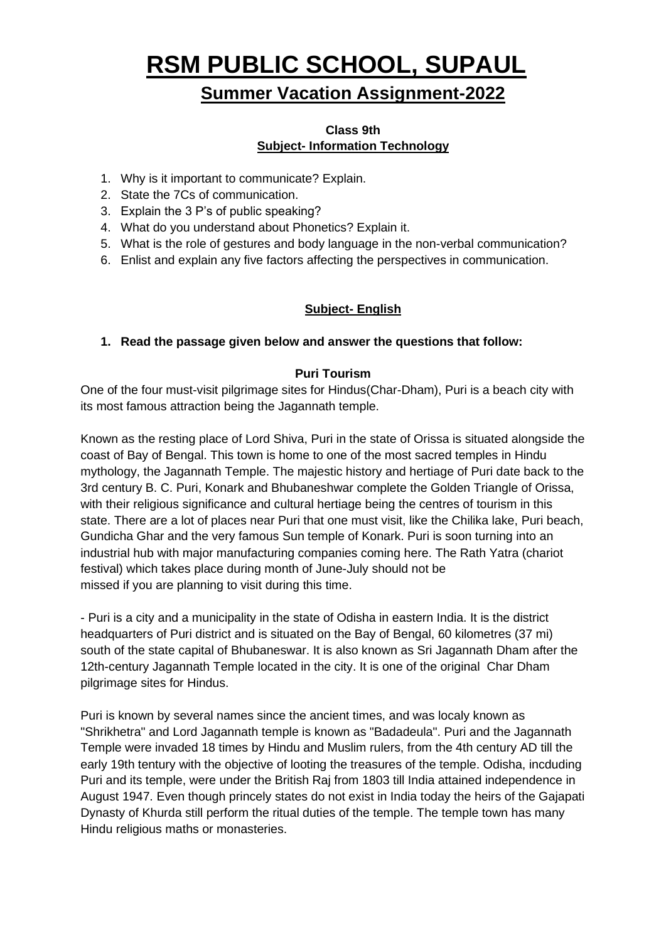# **RSM PUBLIC SCHOOL, SUPAUL**

# **Summer Vacation Assignment-2022**

#### **Class 9th Subject- Information Technology**

- 1. Why is it important to communicate? Explain.
- 2. State the 7Cs of communication.
- 3. Explain the 3 P's of public speaking?
- 4. What do you understand about Phonetics? Explain it.
- 5. What is the role of gestures and body language in the non-verbal communication?
- 6. Enlist and explain any five factors affecting the perspectives in communication.

#### **Subject- English**

#### **1. Read the passage given below and answer the questions that follow:**

#### **Puri Tourism**

One of the four must-visit pilgrimage sites for Hindus(Char-Dham), Puri is a beach city with its most famous attraction being the Jagannath temple.

Known as the resting place of Lord Shiva, Puri in the state of Orissa is situated alongside the coast of Bay of Bengal. This town is home to one of the most sacred temples in Hindu mythology, the Jagannath Temple. The majestic history and hertiage of Puri date back to the 3rd century B. C. Puri, Konark and Bhubaneshwar complete the Golden Triangle of Orissa, with their religious significance and cultural hertiage being the centres of tourism in this state. There are a lot of places near Puri that one must visit, like the Chilika lake, Puri beach, Gundicha Ghar and the very famous Sun temple of Konark. Puri is soon turning into an industrial hub with major manufacturing companies coming here. The Rath Yatra (chariot festival) which takes place during month of June-July should not be missed if you are planning to visit during this time.

- Puri is a city and a municipality in the state of Odisha in eastern India. It is the district headquarters of Puri district and is situated on the Bay of Bengal, 60 kilometres (37 mi) south of the state capital of Bhubaneswar. It is also known as Sri Jagannath Dham after the 12th-century Jagannath Temple located in the city. It is one of the original Char Dham pilgrimage sites for Hindus.

Puri is known by several names since the ancient times, and was localy known as "Shrikhetra" and Lord Jagannath temple is known as "Badadeula". Puri and the Jagannath Temple were invaded 18 times by Hindu and Muslim rulers, from the 4th century AD till the early 19th tentury with the objective of looting the treasures of the temple. Odisha, incduding Puri and its temple, were under the British Raj from 1803 till India attained independence in August 1947. Even though princely states do not exist in India today the heirs of the Gajapati Dynasty of Khurda still perform the ritual duties of the temple. The temple town has many Hindu religious maths or monasteries.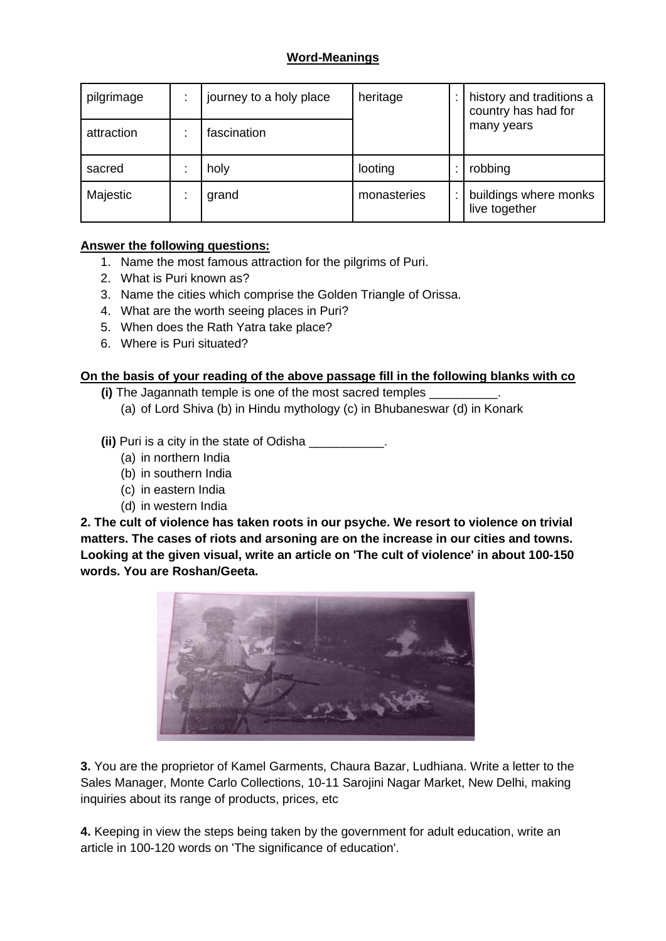#### **Word-Meanings**

| pilgrimage | journey to a holy place | heritage    | history and traditions a<br>country has had for |
|------------|-------------------------|-------------|-------------------------------------------------|
| attraction | fascination             |             | many years                                      |
| sacred     | holy                    | looting     | robbing                                         |
| Majestic   | grand                   | monasteries | buildings where monks<br>live together          |

#### **Answer the following questions:**

- 1. Name the most famous attraction for the pilgrims of Puri.
- 2. What is Puri known as?
- 3. Name the cities which comprise the Golden Triangle of Orissa.
- 4. What are the worth seeing places in Puri?
- 5. When does the Rath Yatra take place?
- 6. Where is Puri situated?

#### **On the basis of your reading of the above passage fill in the following blanks with co**

**(i)** The Jagannath temple is one of the most sacred temples

(a) of Lord Shiva (b) in Hindu mythology (c) in Bhubaneswar (d) in Konark

**(ii)** Puri is a city in the state of Odisha \_\_\_\_\_\_\_\_\_\_\_.

- (a) in northern India
- (b) in southern India
- (c) in eastern India
- (d) in western India

**2. The cult of violence has taken roots in our psyche. We resort to violence on trivial matters. The cases of riots and arsoning are on the increase in our cities and towns. Looking at the given visual, write an article on 'The cult of violence' in about 100-150 words. You are Roshan/Geeta.**



**3.** You are the proprietor of Kamel Garments, Chaura Bazar, Ludhiana. Write a letter to the Sales Manager, Monte Carlo Collections, 10-11 Sarojini Nagar Market, New Delhi, making inquiries about its range of products, prices, etc

**4.** Keeping in view the steps being taken by the government for adult education, write an article in 100-120 words on 'The significance of education'.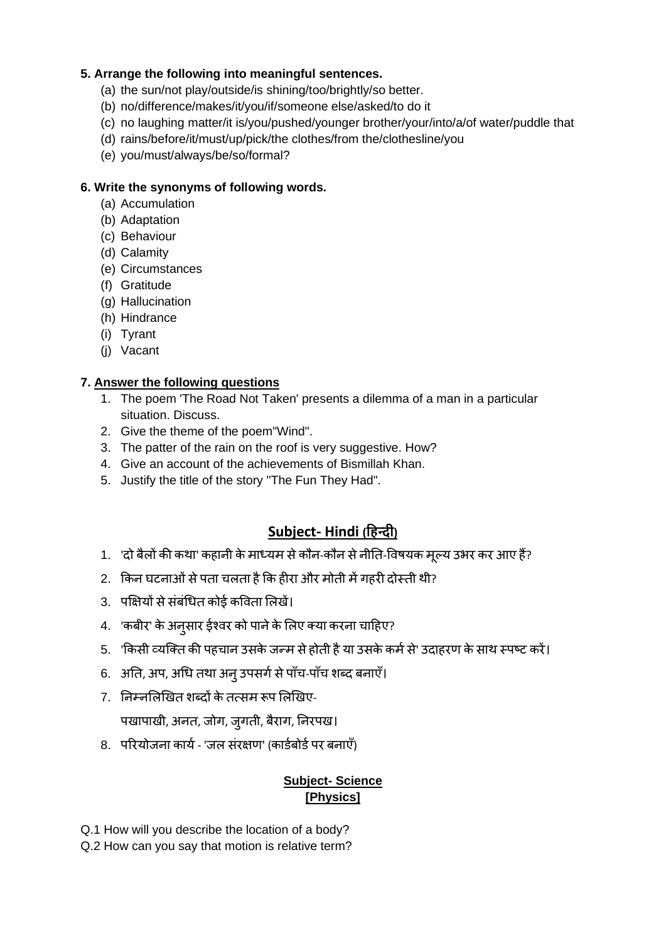#### **5. Arrange the following into meaningful sentences.**

- (a) the sun/not play/outside/is shining/too/brightly/so better.
- (b) no/difference/makes/it/you/if/someone else/asked/to do it
- (c) no laughing matter/it is/you/pushed/younger brother/your/into/a/of water/puddle that
- (d) rains/before/it/must/up/pick/the clothes/from the/clothesline/you
- (e) you/must/always/be/so/formal?

#### **6. Write the synonyms of following words.**

- (a) Accumulation
- (b) Adaptation
- (c) Behaviour
- (d) Calamity
- (e) Circumstances
- (f) Gratitude
- (g) Hallucination
- (h) Hindrance
- (i) Tyrant
- (j) Vacant

#### **7. Answer the following questions**

- 1. The poem 'The Road Not Taken' presents a dilemma of a man in a particular situation. Discuss.
- 2. Give the theme of the poem"Wind".
- 3. The patter of the rain on the roof is very suggestive. How?
- 4. Give an account of the achievements of Bismillah Khan.
- 5. Justify the title of the story "The Fun They Had".

## **Subject- Hindi (हिन्दी)**

- 1. 'दो बैलों की कथा' कहानी के माध्यम से कौन-कौन से नीति-विषयक मूल्य उभर कर आए हैं?
- 2. किन घटनाओं से पता चलता है कि हीरा और मोती में गहरी दोस्ती थी?
- 3. पक्षियों से संबंधित कोई कविता लिखें।
- 4. 'कबीर' के अन्**सार ईश्वर को पाने के लिए क्या कर**ना चाहिए?
- 5. 'किसी व्यक्ति की पहचान उसके जन्म से होती है या उसके कर्म से' उदाहरण के साथ स्पष्ट करें।
- 6. अति, अप, अधि तथा अन् उपसर्ग से पाँच-पाँच शब्द बनाएँ।
- 7. निम्नलिखित शब्दों के तत्सम रूप लिखिए-

पखापाखी, अनत, जोग, जुगती, बैराग, निरपख।

8. परियोजना कार्य - 'जल संरक्षण' (कार्डबोर्ड पर बनाएँ)

#### **Subject- Science [Physics]**

- Q.1 How will you describe the location of a body?
- Q.2 How can you say that motion is relative term?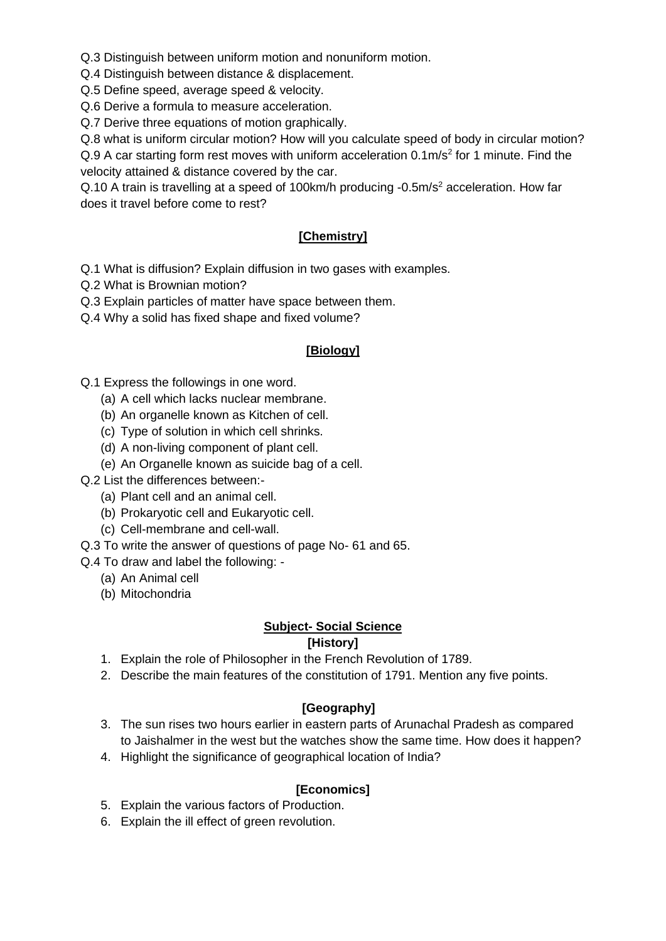Q.3 Distinguish between uniform motion and nonuniform motion.

Q.4 Distinguish between distance & displacement.

Q.5 Define speed, average speed & velocity.

Q.6 Derive a formula to measure acceleration.

Q.7 Derive three equations of motion graphically.

Q.8 what is uniform circular motion? How will you calculate speed of body in circular motion?

Q.9 A car starting form rest moves with uniform acceleration 0.1m/s<sup>2</sup> for 1 minute. Find the velocity attained & distance covered by the car.

Q.10 A train is travelling at a speed of 100km/h producing -0.5m/s<sup>2</sup> acceleration. How far does it travel before come to rest?

#### **[Chemistry]**

Q.1 What is diffusion? Explain diffusion in two gases with examples.

- Q.2 What is Brownian motion?
- Q.3 Explain particles of matter have space between them.
- Q.4 Why a solid has fixed shape and fixed volume?

#### **[Biology]**

- Q.1 Express the followings in one word.
	- (a) A cell which lacks nuclear membrane.
	- (b) An organelle known as Kitchen of cell.
	- (c) Type of solution in which cell shrinks.
	- (d) A non-living component of plant cell.
	- (e) An Organelle known as suicide bag of a cell.
- Q.2 List the differences between:-
	- (a) Plant cell and an animal cell.
	- (b) Prokaryotic cell and Eukaryotic cell.
	- (c) Cell-membrane and cell-wall.
- Q.3 To write the answer of questions of page No- 61 and 65.
- Q.4 To draw and label the following:
	- (a) An Animal cell
	- (b) Mitochondria

#### **Subject- Social Science**

#### **[History]**

- 1. Explain the role of Philosopher in the French Revolution of 1789.
- 2. Describe the main features of the constitution of 1791. Mention any five points.

#### **[Geography]**

- 3. The sun rises two hours earlier in eastern parts of Arunachal Pradesh as compared to Jaishalmer in the west but the watches show the same time. How does it happen?
- 4. Highlight the significance of geographical location of India?

#### **[Economics]**

- 5. Explain the various factors of Production.
- 6. Explain the ill effect of green revolution.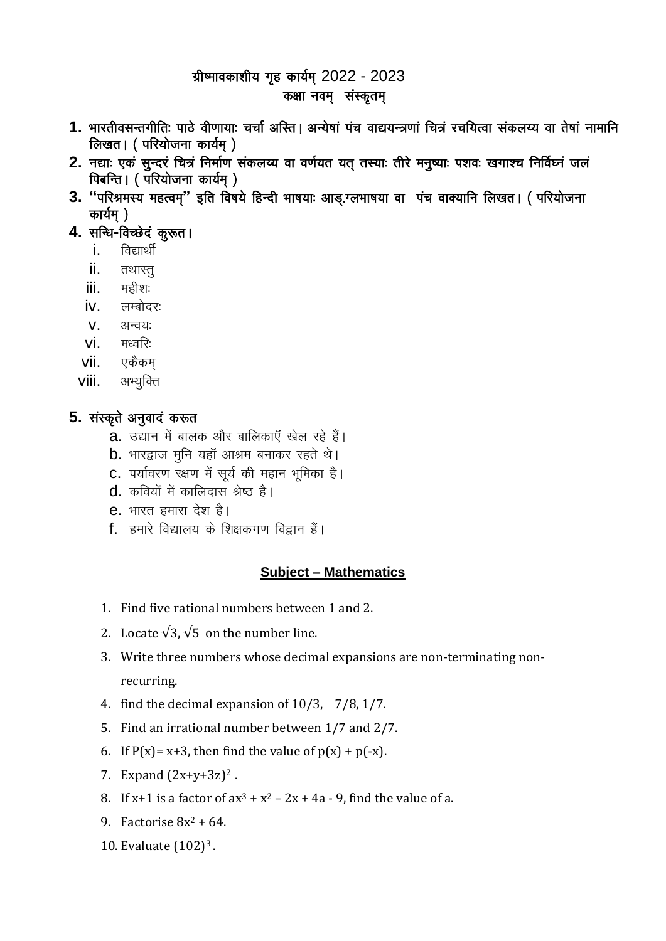# ग्रीष्मावकाशीय गृह कार्यम् 2022 - 2023

#### कक्षा नवम् संस्कृतम्

- 1. भारतीवसन्तगीतिः पाठे वीणायाः चर्चा अस्ति । अन्येषां पंच वाद्ययन्त्रणां चित्रं रचयित्वा संकलय्य वा तेषां नामानि लिखत। (परियोजना कार्यम)
- 2. नद्याः एकं सुन्दरं चित्रं निर्माण संकलय्य वा वर्णयत यत् तस्याः तीरे मनुष्याः पशवः खगाश्च निर्विध्नं जलं पिबन्ति । (परियोजना कार्यम्)
- 3. "परिश्रमस्य महत्वम्" इति विषये हिन्दी भाषयाः आड़.ग्लभाषया वा पंच वाक्यानि लिखत। (परियोजना कार्यम्)
- 4. सन्धि-विच्छेदं कूरूत।
	- **i**. विद्यार्थी
	- ii. तथास्तु
	- iii. महीशः
	- iv. लम्बोदरः
	- $V = 3$ न्वयः
	- $Vi.$  मध्वरिः
	- vii. एकैकम
	- viii. अभ्युक्ति

## 5. संस्कृते अनुवादं करूत

- **a**. उद्यान में बालक और बालिकाएँ खेल रहे हैं।
- **b**. भारद्वाज मुनि यहाँ आश्रम बनाकर रहते थे।
- C. पर्यावरण रक्षण में सूर्य की महान भूमिका है।
- $d_a$  कवियों में कालिदास श्रेष्ठ है।
- e. भारत हमारा देश है।
- f. हमारे विद्यालय के शिक्षकगण विद्वान हैं।

## **Subject - Mathematics**

- 1. Find five rational numbers between 1 and 2.
- 2. Locate  $\sqrt{3}$ ,  $\sqrt{5}$  on the number line.
- 3. Write three numbers whose decimal expansions are non-terminating nonrecurring.
- 4. find the decimal expansion of  $10/3$ ,  $7/8$ ,  $1/7$ .
- 5. Find an irrational number between 1/7 and 2/7.
- 6. If  $P(x) = x+3$ , then find the value of  $p(x) + p(-x)$ .
- 7. Expand  $(2x+y+3z)^2$ .
- 8. If x+1 is a factor of  $ax^3 + x^2 2x + 4a 9$ , find the value of a.
- 9. Factorise  $8x^2 + 64$ .
- 10. Evaluate (102)<sup>3</sup>.